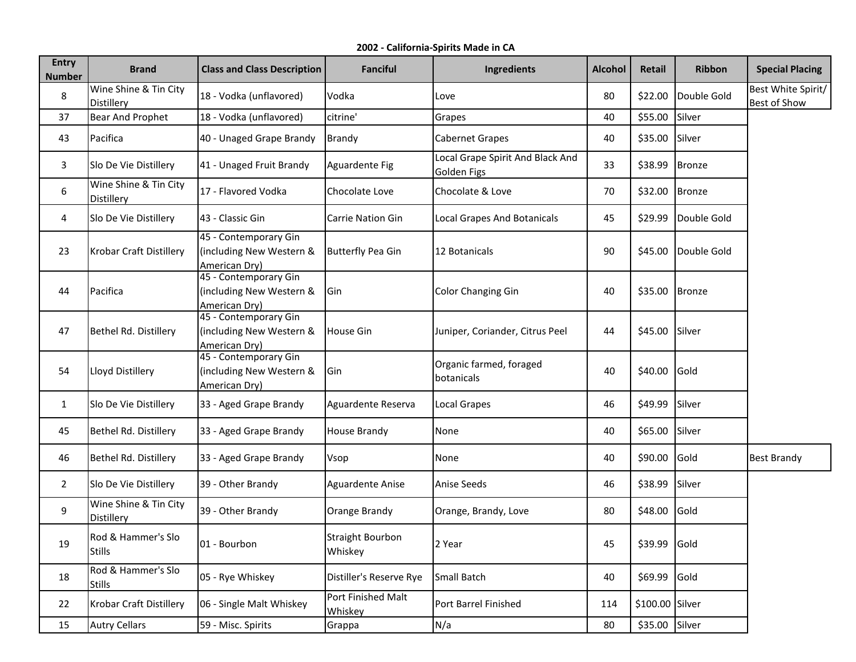**2002 - California-Spirits Made in CA**

| <b>Entry</b><br><b>Number</b> | <b>Brand</b>                        | <b>Class and Class Description</b>                                 | <b>Fanciful</b>               | Ingredients                                            | <b>Alcohol</b> | Retail          | <b>Ribbon</b> | <b>Special Placing</b>             |
|-------------------------------|-------------------------------------|--------------------------------------------------------------------|-------------------------------|--------------------------------------------------------|----------------|-----------------|---------------|------------------------------------|
| 8                             | Wine Shine & Tin City<br>Distillery | 18 - Vodka (unflavored)                                            | Vodka                         | Love                                                   | 80             | \$22.00         | Double Gold   | Best White Spirit/<br>Best of Show |
| 37                            | <b>Bear And Prophet</b>             | 18 - Vodka (unflavored)                                            | citrine'                      | Grapes                                                 | 40             | \$55.00         | Silver        |                                    |
| 43                            | Pacifica                            | 40 - Unaged Grape Brandy                                           | Brandy                        | Cabernet Grapes                                        | 40             | \$35.00 Silver  |               |                                    |
| 3                             | Slo De Vie Distillery               | 41 - Unaged Fruit Brandy                                           | Aguardente Fig                | Local Grape Spirit And Black And<br><b>Golden Figs</b> | 33             | \$38.99         | Bronze        |                                    |
| 6                             | Wine Shine & Tin City<br>Distillery | 17 - Flavored Vodka                                                | Chocolate Love                | Chocolate & Love                                       | 70             | \$32.00         | Bronze        |                                    |
| 4                             | Slo De Vie Distillery               | 43 - Classic Gin                                                   | <b>Carrie Nation Gin</b>      | Local Grapes And Botanicals                            | 45             | \$29.99         | Double Gold   |                                    |
| 23                            | Krobar Craft Distillery             | 45 - Contemporary Gin<br>(including New Western &<br>American Dry) | <b>Butterfly Pea Gin</b>      | 12 Botanicals                                          | 90             | \$45.00         | Double Gold   |                                    |
| 44                            | Pacifica                            | 45 - Contemporary Gin<br>(including New Western &<br>American Dry) | <b>G</b> in                   | <b>Color Changing Gin</b>                              | 40             | \$35.00         | <b>Bronze</b> |                                    |
| 47                            | Bethel Rd. Distillery               | 45 - Contemporary Gin<br>(including New Western &<br>American Dry) | House Gin                     | Juniper, Coriander, Citrus Peel                        | 44             | \$45.00         | Silver        |                                    |
| 54                            | Lloyd Distillery                    | 45 - Contemporary Gin<br>(including New Western &<br>American Dry) | lGin                          | Organic farmed, foraged<br>botanicals                  | 40             | \$40.00         | Gold          |                                    |
| $\mathbf{1}$                  | Slo De Vie Distillery               | 33 - Aged Grape Brandy                                             | Aguardente Reserva            | Local Grapes                                           | 46             | \$49.99         | Silver        |                                    |
| 45                            | Bethel Rd. Distillery               | 33 - Aged Grape Brandy                                             | <b>House Brandy</b>           | None                                                   | 40             | \$65.00         | Silver        |                                    |
| 46                            | Bethel Rd. Distillery               | 33 - Aged Grape Brandy                                             | Vsop                          | None                                                   | 40             | \$90.00         | Gold          | <b>Best Brandy</b>                 |
| $\overline{2}$                | Slo De Vie Distillery               | 39 - Other Brandy                                                  | Aguardente Anise              | Anise Seeds                                            | 46             | \$38.99         | Silver        |                                    |
| 9                             | Wine Shine & Tin City<br>Distillery | 39 - Other Brandy                                                  | Orange Brandy                 | Orange, Brandy, Love                                   | 80             | \$48.00         | Gold          |                                    |
| 19                            | Rod & Hammer's Slo<br><b>Stills</b> | 01 - Bourbon                                                       | Straight Bourbon<br>Whiskey   | 2 Year                                                 | 45             | \$39.99 Gold    |               |                                    |
| 18                            | Rod & Hammer's Slo<br><b>Stills</b> | 05 - Rye Whiskey                                                   | Distiller's Reserve Rye       | Small Batch                                            | 40             | \$69.99 Gold    |               |                                    |
| 22                            | <b>Krobar Craft Distillery</b>      | 06 - Single Malt Whiskey                                           | Port Finished Malt<br>Whiskey | Port Barrel Finished                                   | 114            | \$100.00 Silver |               |                                    |
| 15                            | <b>Autry Cellars</b>                | 59 - Misc. Spirits                                                 | Grappa                        | N/a                                                    | 80             | \$35.00 Silver  |               |                                    |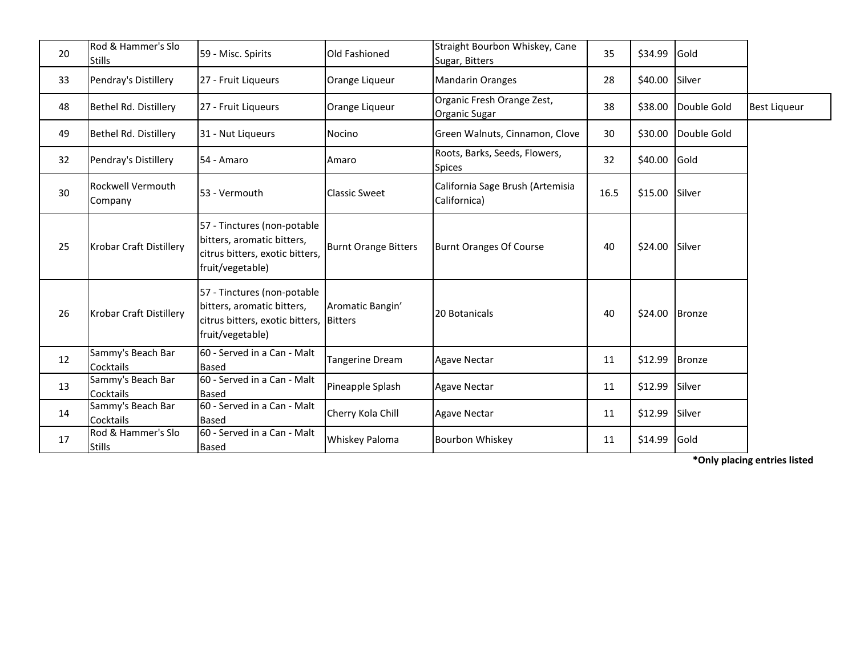| 20 | Rod & Hammer's Slo<br><b>Stills</b> | 59 - Misc. Spirits                                                                                                       | Old Fashioned               | Straight Bourbon Whiskey, Cane<br>Sugar, Bitters | 35   | \$34.99 | Gold          |                     |
|----|-------------------------------------|--------------------------------------------------------------------------------------------------------------------------|-----------------------------|--------------------------------------------------|------|---------|---------------|---------------------|
| 33 | Pendray's Distillery                | 27 - Fruit Liqueurs                                                                                                      | Orange Liqueur              | <b>Mandarin Oranges</b>                          | 28   | \$40.00 | Silver        |                     |
| 48 | Bethel Rd. Distillery               | 27 - Fruit Liqueurs                                                                                                      | Orange Liqueur              | Organic Fresh Orange Zest,<br>Organic Sugar      | 38   | \$38.00 | Double Gold   | <b>Best Liqueur</b> |
| 49 | Bethel Rd. Distillery               | 31 - Nut Liqueurs                                                                                                        | <b>Nocino</b>               | Green Walnuts, Cinnamon, Clove                   | 30   | \$30.00 | Double Gold   |                     |
| 32 | Pendray's Distillery                | 54 - Amaro                                                                                                               | Amaro                       | Roots, Barks, Seeds, Flowers,<br><b>Spices</b>   | 32   | \$40.00 | Gold          |                     |
| 30 | <b>Rockwell Vermouth</b><br>Company | 53 - Vermouth                                                                                                            | <b>Classic Sweet</b>        | California Sage Brush (Artemisia<br>Californica) | 16.5 | \$15.00 | Silver        |                     |
| 25 | <b>Krobar Craft Distillery</b>      | 57 - Tinctures (non-potable<br>bitters, aromatic bitters,<br>citrus bitters, exotic bitters,<br>fruit/vegetable)         | <b>Burnt Orange Bitters</b> | <b>Burnt Oranges Of Course</b>                   | 40   | \$24.00 | Silver        |                     |
| 26 | <b>Krobar Craft Distillery</b>      | 57 - Tinctures (non-potable<br>bitters, aromatic bitters,<br>citrus bitters, exotic bitters, Bitters<br>fruit/vegetable) | Aromatic Bangin'            | 20 Botanicals                                    | 40   | \$24.00 | Bronze        |                     |
| 12 | Sammy's Beach Bar<br>Cocktails      | 60 - Served in a Can - Malt<br><b>Based</b>                                                                              | Tangerine Dream             | <b>Agave Nectar</b>                              | 11   | \$12.99 | <b>Bronze</b> |                     |
| 13 | Sammy's Beach Bar<br>Cocktails      | 60 - Served in a Can - Malt<br><b>Based</b>                                                                              | Pineapple Splash            | <b>Agave Nectar</b>                              | 11   | \$12.99 | Silver        |                     |
| 14 | Sammy's Beach Bar<br>Cocktails      | 60 - Served in a Can - Malt<br><b>Based</b>                                                                              | Cherry Kola Chill           | <b>Agave Nectar</b>                              | 11   | \$12.99 | Silver        |                     |
| 17 | Rod & Hammer's Slo<br><b>Stills</b> | 60 - Served in a Can - Malt<br><b>Based</b>                                                                              | Whiskey Paloma              | <b>Bourbon Whiskey</b>                           | 11   | \$14.99 | Gold          |                     |

**\*Only placing entries listed**